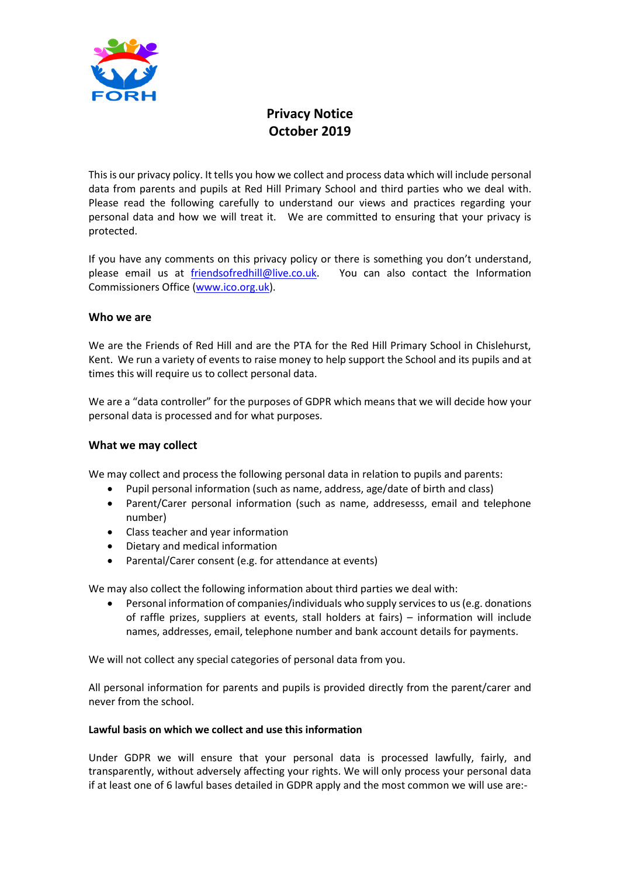

# **Privacy Notice October 2019**

This is our privacy policy. It tells you how we collect and process data which will include personal data from parents and pupils at Red Hill Primary School and third parties who we deal with. Please read the following carefully to understand our views and practices regarding your personal data and how we will treat it. We are committed to ensuring that your privacy is protected.

If you have any comments on this privacy policy or there is something you don't understand, please email us at [friendsofredhill@live.co.uk.](mailto:friendsofredhill@live.co.uk) You can also contact the Information Commissioners Office [\(www.ico.org.uk\)](http://www.ico.org.uk/).

## **Who we are**

We are the Friends of Red Hill and are the PTA for the Red Hill Primary School in Chislehurst, Kent. We run a variety of events to raise money to help support the School and its pupils and at times this will require us to collect personal data.

We are a "data controller" for the purposes of GDPR which means that we will decide how your personal data is processed and for what purposes.

## **What we may collect**

We may collect and process the following personal data in relation to pupils and parents:

- Pupil personal information (such as name, address, age/date of birth and class)
- Parent/Carer personal information (such as name, addresesss, email and telephone number)
- Class teacher and year information
- Dietary and medical information
- Parental/Carer consent (e.g. for attendance at events)

We may also collect the following information about third parties we deal with:

• Personal information of companies/individuals who supply services to us (e.g. donations of raffle prizes, suppliers at events, stall holders at fairs) – information will include names, addresses, email, telephone number and bank account details for payments.

We will not collect any special categories of personal data from you.

All personal information for parents and pupils is provided directly from the parent/carer and never from the school.

## **Lawful basis on which we collect and use this information**

Under GDPR we will ensure that your personal data is processed lawfully, fairly, and transparently, without adversely affecting your rights. We will only process your personal data if at least one of 6 lawful bases detailed in GDPR apply and the most common we will use are:-